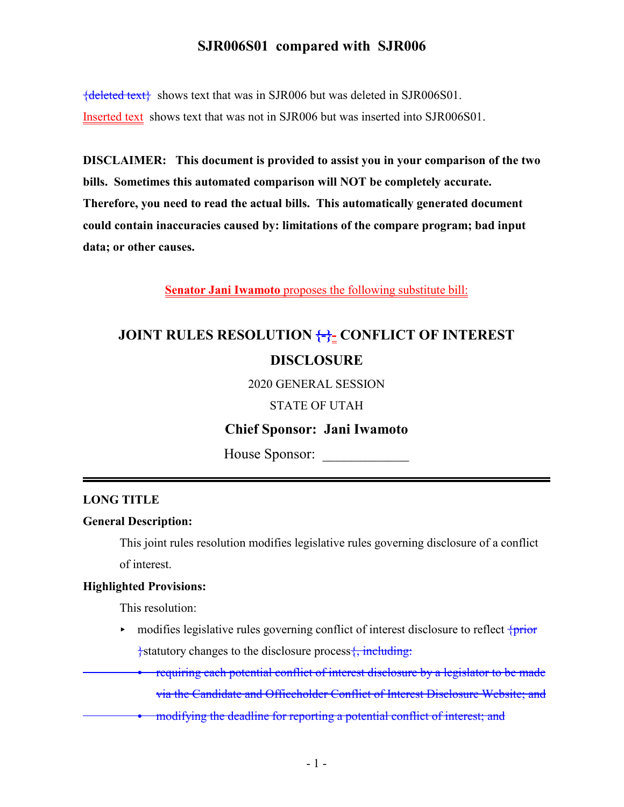${deleted text}$  shows text that was in SJR006 but was deleted in SJR006S01. Inserted text shows text that was not in SJR006 but was inserted into SJR006S01.

**DISCLAIMER: This document is provided to assist you in your comparison of the two bills. Sometimes this automated comparison will NOT be completely accurate. Therefore, you need to read the actual bills. This automatically generated document could contain inaccuracies caused by: limitations of the compare program; bad input data; or other causes.**

**Senator Jani Iwamoto** proposes the following substitute bill:

# **JOINT RULES RESOLUTION {-}- CONFLICT OF INTEREST DISCLOSURE**

2020 GENERAL SESSION

STATE OF UTAH

# **Chief Sponsor: Jani Iwamoto**

House Sponsor:

### **LONG TITLE**

#### **General Description:**

This joint rules resolution modifies legislative rules governing disclosure of a conflict of interest.

### **Highlighted Provisions:**

This resolution:

- $\triangleright$  modifies legislative rules governing conflict of interest disclosure to reflect  $\frac{1}{2}$  $\frac{1}{2}$ statutory changes to the disclosure process $\frac{1}{2}$ , including:
	- requiring each potential conflict of interest disclosure by a legislator to be made via the Candidate and Officeholder Conflict of Interest Disclosure Website; and
	- modifying the deadline for reporting a potential conflict of interest; and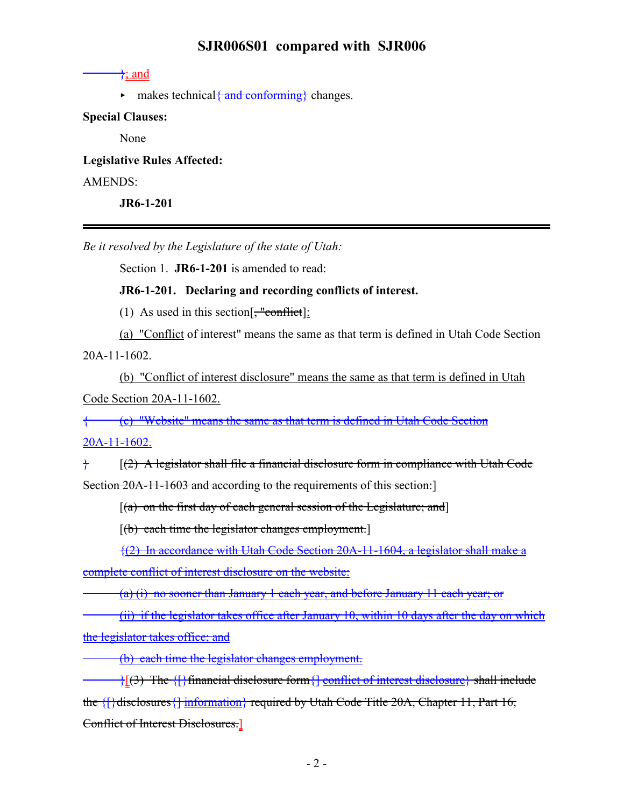#### $\rightarrow$ ; and

 $\triangleright$  makes technical  $\{\text{and conforming}\}$  changes.

#### **Special Clauses:**

None

**Legislative Rules Affected:** AMENDS: **JR6-1-201**

*Be it resolved by the Legislature of the state of Utah:*

Section 1. **JR6-1-201** is amended to read:

#### **JR6-1-201. Declaring and recording conflicts of interest.**

(1) As used in this section  $\frac{4}{5}$  "conflict]:

(a) "Conflict of interest" means the same as that term is defined in Utah Code Section 20A-11-1602.

(b) "Conflict of interest disclosure" means the same as that term is defined in Utah Code Section 20A-11-1602.

{ (c) "Website" means the same as that term is defined in Utah Code Section

 $20A-11-1602.$ 

 $\}$  [(2) A legislator shall file a financial disclosure form in compliance with Utah Code Section 20A-11-1603 and according to the requirements of this section:

 $[(a)$  on the first day of each general session of the Legislature; and  $]$ 

 $[(b)$  each time the legislator changes employment.

{(2) In accordance with Utah Code Section 20A-11-1604, a legislator shall make a complete conflict of interest disclosure on the website:

(a) (i) no sooner than January 1 each year, and before January 11 each year; or

(ii) if the legislator takes office after January 10, within 10 days after the day on which the legislator takes office; and

(b) each time the legislator changes employment.

 $\{\}$ [(3) The  $\{\}$  financial disclosure form  $\{$  conflict of interest disclosure  $\}$  shall include the {[}disclosures{] information} required by Utah Code Title 20A, Chapter 11, Part 16, Conflict of Interest Disclosures.]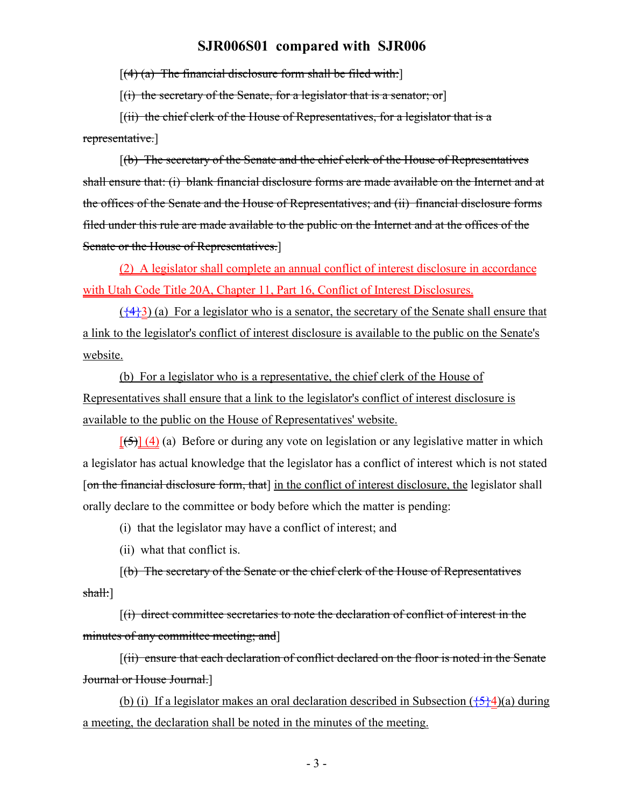$[(4)$  (a) The financial disclosure form shall be filed with:

 $[(i)$  the secretary of the Senate, for a legislator that is a senator; or

 $[(ii)$  the chief clerk of the House of Representatives, for a legislator that is a representative.]

[(b) The secretary of the Senate and the chief clerk of the House of Representatives shall ensure that: (i) blank financial disclosure forms are made available on the Internet and at the offices of the Senate and the House of Representatives; and (ii) financial disclosure forms filed under this rule are made available to the public on the Internet and at the offices of the Senate or the House of Representatives.]

(2) A legislator shall complete an annual conflict of interest disclosure in accordance with Utah Code Title 20A, Chapter 11, Part 16, Conflict of Interest Disclosures.

 $(\frac{44}{3})$  (a) For a legislator who is a senator, the secretary of the Senate shall ensure that a link to the legislator's conflict of interest disclosure is available to the public on the Senate's website.

(b) For a legislator who is a representative, the chief clerk of the House of Representatives shall ensure that a link to the legislator's conflict of interest disclosure is available to the public on the House of Representatives' website.

 $[5]$  (4) (a) Before or during any vote on legislation or any legislative matter in which a legislator has actual knowledge that the legislator has a conflict of interest which is not stated [on the financial disclosure form, that] in the conflict of interest disclosure, the legislator shall orally declare to the committee or body before which the matter is pending:

(i) that the legislator may have a conflict of interest; and

(ii) what that conflict is.

[(b) The secretary of the Senate or the chief clerk of the House of Representatives shall:]

[(i) direct committee secretaries to note the declaration of conflict of interest in the minutes of any committee meeting; and

[(ii) ensure that each declaration of conflict declared on the floor is noted in the Senate Journal or House Journal.]

(b) (i) If a legislator makes an oral declaration described in Subsection  $(\frac{5}{2}4)(a)$  during a meeting, the declaration shall be noted in the minutes of the meeting.